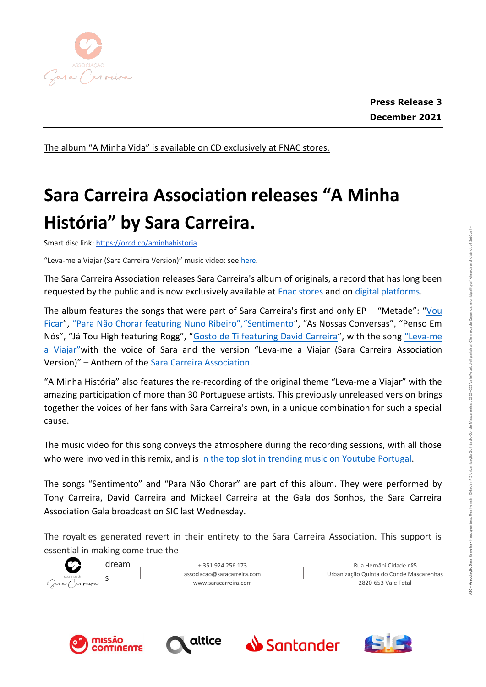

The album "A Minha Vida" is available on CD exclusively at FNAC stores.

## **Sara Carreira Association releases "A Minha História" by Sara Carreira.**

Smart disc link:<https://orcd.co/aminhahistoria>[.](https://orcd.co/aminhahistoria)

"Leva-me a Viajar (Sara Carreira Version)" music video: see [here.](https://www.youtube.com/watch?v=vpQ3VxiTgAI)

The Sara Carreira Association releases Sara Carreira's album of originals, a record that has long been requested by the public and is now exclusively available at **Fnac stores** and on [digital](https://orcd.co/aminhahistoria) [platforms.](https://orcd.co/aminhahistoria)

The album features the songs that were part of Sara Carreira's first and only EP – "Metade": "[Vou](https://www.youtube.com/watch?v=sX0stXPoimQ)  [Ficar](https://www.youtube.com/watch?v=sX0stXPoimQ)", ["Para Não Chorar featuring Nuno Ribeiro","Sentimento", "As Nossas Conversas", "Penso Em](https://www.youtube.com/watch?v=OkstemEInXU)  [Nós", "Já Tou High featuring Rogg", "](https://www.youtube.com/watch?v=OkstemEInXU)[Gosto de Ti featuring David Carreira](https://www.youtube.com/watch?v=9J14ND0CNLM)", with the song ["Leva](https://www.youtube.com/watch?v=AqW1MpVrPK8)-me a [Viajar"with the voice of Sara and the version "Leva](https://www.youtube.com/watch?v=AqW1MpVrPK8)-me a Viajar (Sara Carreira Association Version)" – [Anthem of the Sara Carreira](https://www.youtube.com/watch?v=AqW1MpVrPK8) [Association.](https://www.youtube.com/watch?v=vpQ3VxiTgAI)

"A Minha História" also features the re-recording of the original theme "Leva-me a Viajar" with the amazing participation of more than 30 Portuguese artists. This previously unreleased version brings together the voices of her fans with Sara Carreira's own, in a unique combination for such a special cause.

The music video for this song conveys the atmosphere during the recording sessions, with all those who were involved in this remix, and is [in the top slot in trending music on](https://www.youtube.com/watch?v=vpQ3VxiTgAI) [Youtube Portugal.](https://www.youtube.com/watch?v=vpQ3VxiTgAI)

The songs "Sentimento" and "Para Não Chorar" are part of this album. They were performed by Tony Carreira, David Carreira and Mickael Carreira at the Gala dos Sonhos, the Sara Carreira Association Gala broadcast on SIC last Wednesday.

The royalties generated revert in their entirety to the Sara Carreira Association. This support is essential in making come true the



+ 351 924 256 173 [associacao@saracarreira.com](mailto:asssociacao@saracarreira.com) [www.saracarreira.com](http://www.saracarreira.com/)

Rua Hernâni Cidade nº5 Urbanização Quinta do Conde Mascarenhas 2820-653 Vale Fetal